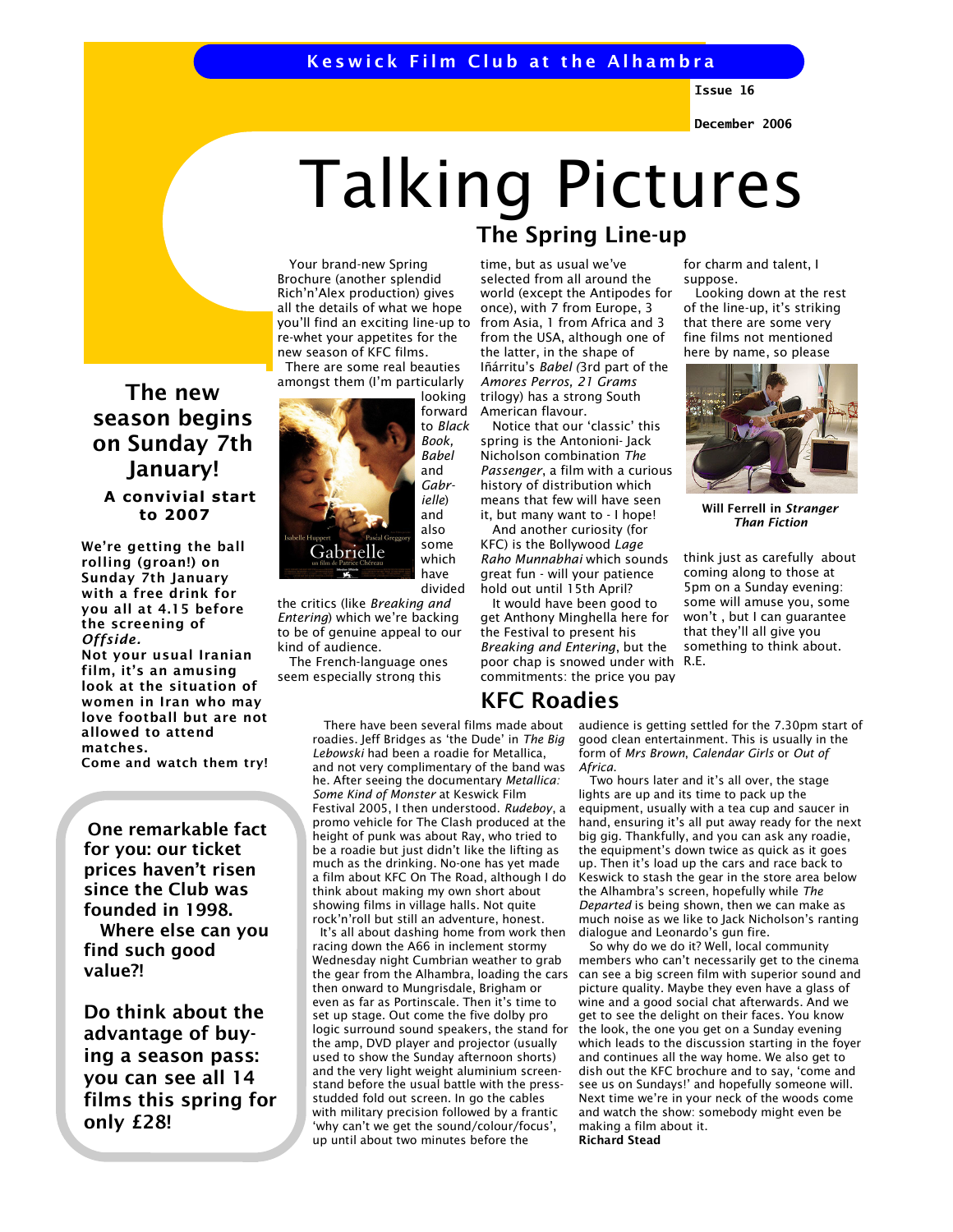## Keswick Film Club at the Alhambra

Issue 16

December 2006

# Talking Pictures

 Your brand-new Spring Brochure (another splendid Rich'n'Alex production) gives all the details of what we hope you'll find an exciting line-up to re-whet your appetites for the new season of KFC films.

 There are some real beauties amongst them (I'm particularly looking



forward to Black Book, Babel and Gabrielle) and also some which have divided

the critics (like Breaking and Entering) which we're backing to be of genuine appeal to our kind of audience.

 The French-language ones seem especially strong this

> There have been several films made about roadies. Jeff Bridges as 'the Dude' in The Big Lebowski had been a roadie for Metallica, and not very complimentary of the band was he. After seeing the documentary Metallica: Some Kind of Monster at Keswick Film Festival 2005, I then understood. Rudeboy, a promo vehicle for The Clash produced at the height of punk was about Ray, who tried to be a roadie but just didn't like the lifting as much as the drinking. No-one has yet made a film about KFC On The Road, although I do think about making my own short about showing films in village halls. Not quite rock'n'roll but still an adventure, honest. It's all about dashing home from work then racing down the A66 in inclement stormy Wednesday night Cumbrian weather to grab the gear from the Alhambra, loading the cars then onward to Mungrisdale, Brigham or even as far as Portinscale. Then it's time to set up stage. Out come the five dolby pro logic surround sound speakers, the stand for the amp, DVD player and projector (usually used to show the Sunday afternoon shorts) and the very light weight aluminium screenstand before the usual battle with the pressstudded fold out screen. In go the cables with military precision followed by a frantic 'why can't we get the sound/colour/focus', up until about two minutes before the

## The Spring Line-up

time, but as usual we've selected from all around the world (except the Antipodes for once), with 7 from Europe, 3 from Asia, 1 from Africa and 3 from the USA, although one of the latter, in the shape of Iñárritu's Babel (3rd part of the Amores Perros, 21 Grams trilogy) has a strong South American flavour.

 Notice that our 'classic' this spring is the Antonioni- Jack Nicholson combination The Passenger, a film with a curious history of distribution which means that few will have seen it, but many want to - I hope!

 And another curiosity (for KFC) is the Bollywood Lage Raho Munnabhai which sounds great fun - will your patience hold out until 15th April?

 It would have been good to get Anthony Minghella here for the Festival to present his Breaking and Entering, but the poor chap is snowed under with R.E. commitments: the price you pay

## KFC Roadies

for charm and talent, I suppose.

 Looking down at the rest of the line-up, it's striking that there are some very fine films not mentioned here by name, so please



Will Ferrell in Stranger Than Fiction

think just as carefully about coming along to those at 5pm on a Sunday evening: some will amuse you, some won't , but I can guarantee that they'll all give you something to think about.

audience is getting settled for the 7.30pm start of good clean entertainment. This is usually in the form of Mrs Brown, Calendar Girls or Out of Africa.

 Two hours later and it's all over, the stage lights are up and its time to pack up the equipment, usually with a tea cup and saucer in hand, ensuring it's all put away ready for the next big gig. Thankfully, and you can ask any roadie, the equipment's down twice as quick as it goes up. Then it's load up the cars and race back to Keswick to stash the gear in the store area below the Alhambra's screen, hopefully while The Departed is being shown, then we can make as much noise as we like to Jack Nicholson's ranting dialogue and Leonardo's gun fire.

 So why do we do it? Well, local community members who can't necessarily get to the cinema can see a big screen film with superior sound and picture quality. Maybe they even have a glass of wine and a good social chat afterwards. And we get to see the delight on their faces. You know the look, the one you get on a Sunday evening which leads to the discussion starting in the foyer and continues all the way home. We also get to dish out the KFC brochure and to say, 'come and see us on Sundays!' and hopefully someone will. Next time we're in your neck of the woods come and watch the show: somebody might even be making a film about it. Richard Stead

The new season begins on Sunday 7th January! A convivial start to 2007

We're getting the ball rolling (groan!) on Sunday 7th January with a free drink for you all at 4.15 before the screening of Offside. Not your usual Iranian film, it's an amusing look at the situation of women in Iran who may love football but are not allowed to attend matches.

Come and watch them try!

One remarkable fact for you: our ticket prices haven't risen since the Club was founded in 1998. Where else can you find such good value?!

Do think about the advantage of buying a season pass: you can see all 14 films this spring for only £28!